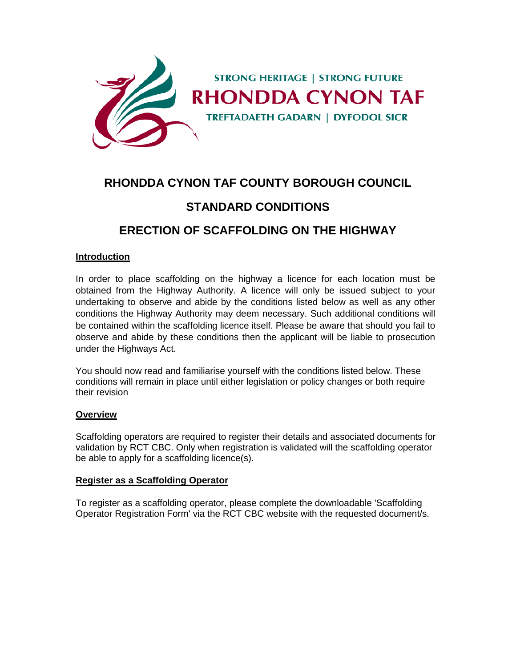

# **RHONDDA CYNON TAF COUNTY BOROUGH COUNCIL**

# **STANDARD CONDITIONS**

# **ERECTION OF SCAFFOLDING ON THE HIGHWAY**

#### **Introduction**

In order to place scaffolding on the highway a licence for each location must be obtained from the Highway Authority. A licence will only be issued subject to your undertaking to observe and abide by the conditions listed below as well as any other conditions the Highway Authority may deem necessary. Such additional conditions will be contained within the scaffolding licence itself. Please be aware that should you fail to observe and abide by these conditions then the applicant will be liable to prosecution under the Highways Act.

You should now read and familiarise yourself with the conditions listed below. These conditions will remain in place until either legislation or policy changes or both require their revision

#### **Overview**

Scaffolding operators are required to register their details and associated documents for validation by RCT CBC. Only when registration is validated will the scaffolding operator be able to apply for a scaffolding licence(s).

#### **Register as a Scaffolding Operator**

To register as a scaffolding operator, please complete the downloadable 'Scaffolding Operator Registration Form' via the RCT CBC website with the requested document/s.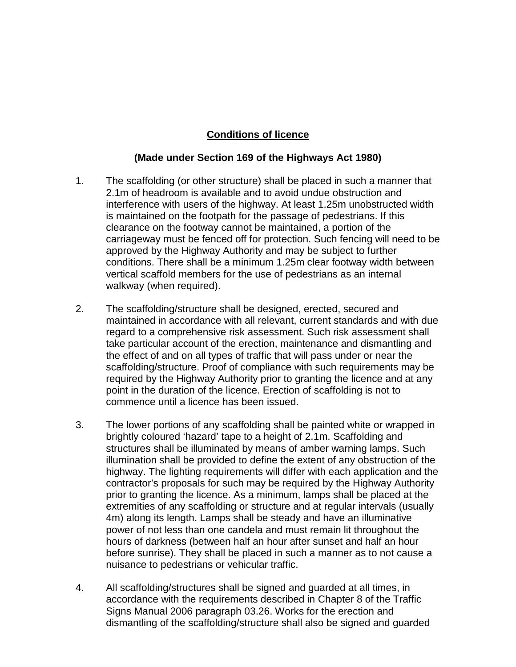## **Conditions of licence**

### **(Made under Section 169 of the Highways Act 1980)**

- 1. The scaffolding (or other structure) shall be placed in such a manner that 2.1m of headroom is available and to avoid undue obstruction and interference with users of the highway. At least 1.25m unobstructed width is maintained on the footpath for the passage of pedestrians. If this clearance on the footway cannot be maintained, a portion of the carriageway must be fenced off for protection. Such fencing will need to be approved by the Highway Authority and may be subject to further conditions. There shall be a minimum 1.25m clear footway width between vertical scaffold members for the use of pedestrians as an internal walkway (when required).
- 2. The scaffolding/structure shall be designed, erected, secured and maintained in accordance with all relevant, current standards and with due regard to a comprehensive risk assessment. Such risk assessment shall take particular account of the erection, maintenance and dismantling and the effect of and on all types of traffic that will pass under or near the scaffolding/structure. Proof of compliance with such requirements may be required by the Highway Authority prior to granting the licence and at any point in the duration of the licence. Erection of scaffolding is not to commence until a licence has been issued.
- 3. The lower portions of any scaffolding shall be painted white or wrapped in brightly coloured 'hazard' tape to a height of 2.1m. Scaffolding and structures shall be illuminated by means of amber warning lamps. Such illumination shall be provided to define the extent of any obstruction of the highway. The lighting requirements will differ with each application and the contractor's proposals for such may be required by the Highway Authority prior to granting the licence. As a minimum, lamps shall be placed at the extremities of any scaffolding or structure and at regular intervals (usually 4m) along its length. Lamps shall be steady and have an illuminative power of not less than one candela and must remain lit throughout the hours of darkness (between half an hour after sunset and half an hour before sunrise). They shall be placed in such a manner as to not cause a nuisance to pedestrians or vehicular traffic.
- 4. All scaffolding/structures shall be signed and guarded at all times, in accordance with the requirements described in Chapter 8 of the Traffic Signs Manual 2006 paragraph 03.26. Works for the erection and dismantling of the scaffolding/structure shall also be signed and guarded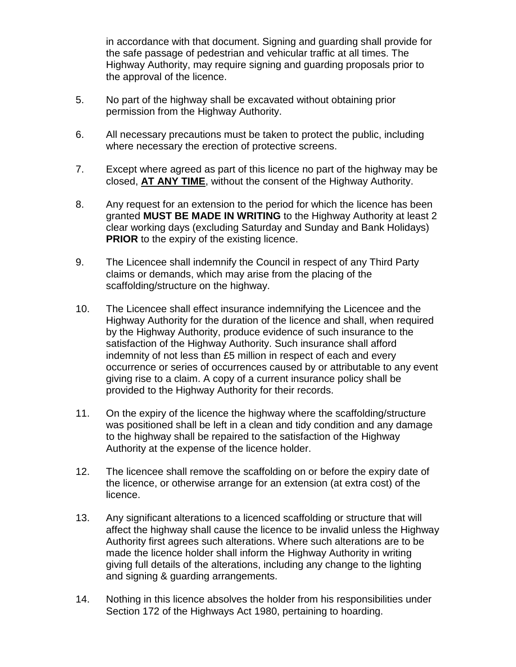in accordance with that document. Signing and guarding shall provide for the safe passage of pedestrian and vehicular traffic at all times. The Highway Authority, may require signing and guarding proposals prior to the approval of the licence.

- 5. No part of the highway shall be excavated without obtaining prior permission from the Highway Authority.
- 6. All necessary precautions must be taken to protect the public, including where necessary the erection of protective screens.
- 7. Except where agreed as part of this licence no part of the highway may be closed, **AT ANY TIME**, without the consent of the Highway Authority.
- 8. Any request for an extension to the period for which the licence has been granted **MUST BE MADE IN WRITING** to the Highway Authority at least 2 clear working days (excluding Saturday and Sunday and Bank Holidays) **PRIOR** to the expiry of the existing licence.
- 9. The Licencee shall indemnify the Council in respect of any Third Party claims or demands, which may arise from the placing of the scaffolding/structure on the highway.
- 10. The Licencee shall effect insurance indemnifying the Licencee and the Highway Authority for the duration of the licence and shall, when required by the Highway Authority, produce evidence of such insurance to the satisfaction of the Highway Authority. Such insurance shall afford indemnity of not less than £5 million in respect of each and every occurrence or series of occurrences caused by or attributable to any event giving rise to a claim. A copy of a current insurance policy shall be provided to the Highway Authority for their records.
- 11. On the expiry of the licence the highway where the scaffolding/structure was positioned shall be left in a clean and tidy condition and any damage to the highway shall be repaired to the satisfaction of the Highway Authority at the expense of the licence holder.
- 12. The licencee shall remove the scaffolding on or before the expiry date of the licence, or otherwise arrange for an extension (at extra cost) of the licence.
- 13. Any significant alterations to a licenced scaffolding or structure that will affect the highway shall cause the licence to be invalid unless the Highway Authority first agrees such alterations. Where such alterations are to be made the licence holder shall inform the Highway Authority in writing giving full details of the alterations, including any change to the lighting and signing & guarding arrangements.
- 14. Nothing in this licence absolves the holder from his responsibilities under Section 172 of the Highways Act 1980, pertaining to hoarding.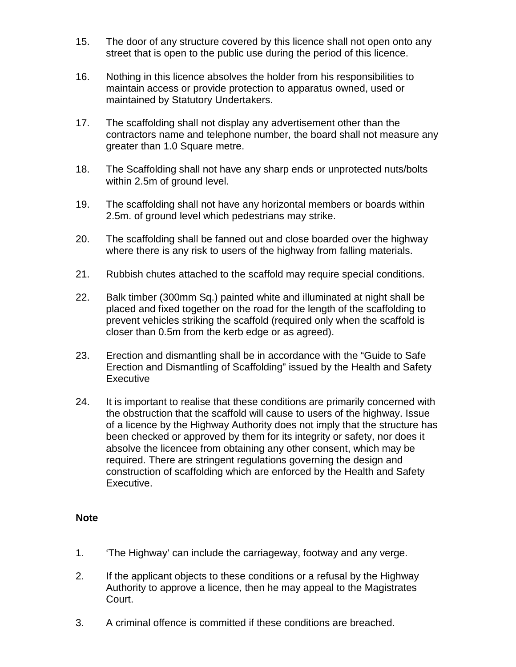- 15. The door of any structure covered by this licence shall not open onto any street that is open to the public use during the period of this licence.
- 16. Nothing in this licence absolves the holder from his responsibilities to maintain access or provide protection to apparatus owned, used or maintained by Statutory Undertakers.
- 17. The scaffolding shall not display any advertisement other than the contractors name and telephone number, the board shall not measure any greater than 1.0 Square metre.
- 18. The Scaffolding shall not have any sharp ends or unprotected nuts/bolts within 2.5m of ground level.
- 19. The scaffolding shall not have any horizontal members or boards within 2.5m. of ground level which pedestrians may strike.
- 20. The scaffolding shall be fanned out and close boarded over the highway where there is any risk to users of the highway from falling materials.
- 21. Rubbish chutes attached to the scaffold may require special conditions.
- 22. Balk timber (300mm Sq.) painted white and illuminated at night shall be placed and fixed together on the road for the length of the scaffolding to prevent vehicles striking the scaffold (required only when the scaffold is closer than 0.5m from the kerb edge or as agreed).
- 23. Erection and dismantling shall be in accordance with the "Guide to Safe Erection and Dismantling of Scaffolding" issued by the Health and Safety **Executive**
- 24. It is important to realise that these conditions are primarily concerned with the obstruction that the scaffold will cause to users of the highway. Issue of a licence by the Highway Authority does not imply that the structure has been checked or approved by them for its integrity or safety, nor does it absolve the licencee from obtaining any other consent, which may be required. There are stringent regulations governing the design and construction of scaffolding which are enforced by the Health and Safety Executive.

### **Note**

- 1. 'The Highway' can include the carriageway, footway and any verge.
- 2. If the applicant objects to these conditions or a refusal by the Highway Authority to approve a licence, then he may appeal to the Magistrates Court.
- 3. A criminal offence is committed if these conditions are breached.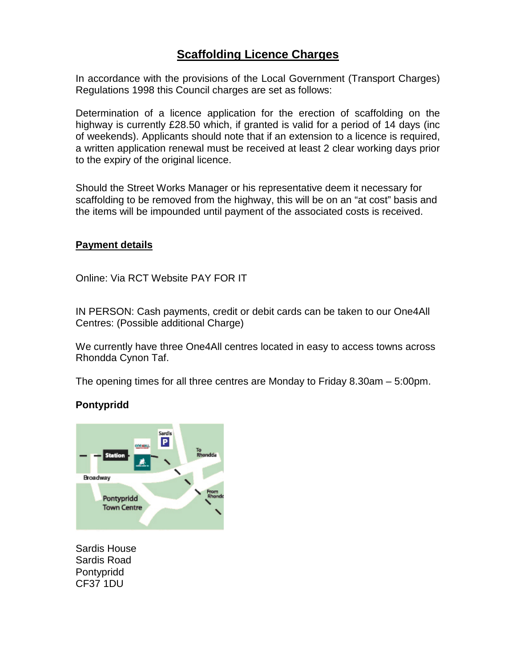# **Scaffolding Licence Charges**

In accordance with the provisions of the Local Government (Transport Charges) Regulations 1998 this Council charges are set as follows:

Determination of a licence application for the erection of scaffolding on the highway is currently £28.50 which, if granted is valid for a period of 14 days (inc of weekends). Applicants should note that if an extension to a licence is required, a written application renewal must be received at least 2 clear working days prior to the expiry of the original licence.

Should the Street Works Manager or his representative deem it necessary for scaffolding to be removed from the highway, this will be on an "at cost" basis and the items will be impounded until payment of the associated costs is received.

### **Payment details**

Online: Via RCT Website PAY FOR IT

IN PERSON: Cash payments, credit or debit cards can be taken to our One4All Centres: (Possible additional Charge)

We currently have three One4All centres located in easy to access towns across Rhondda Cynon Taf.

The opening times for all three centres are Monday to Friday 8.30am – 5:00pm.

## **Pontypridd**



Sardis House Sardis Road Pontypridd CF37 1DU